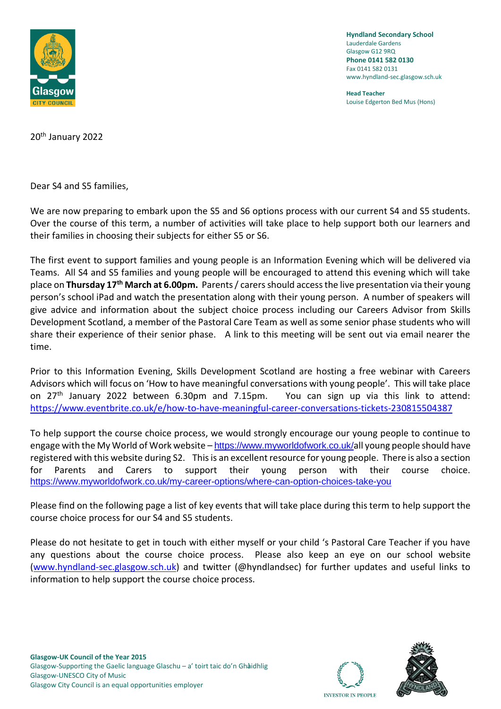

**Hyndland Secondary School** Lauderdale Gardens Glasgow G12 9RQ **Phone 0141 582 0130** Fax 0141 582 0131 www.hyndland-sec.glasgow.sch.uk

**Head Teacher** Louise Edgerton Bed Mus (Hons)

20th January 2022

Dear S4 and S5 families,

We are now preparing to embark upon the S5 and S6 options process with our current S4 and S5 students. Over the course of this term, a number of activities will take place to help support both our learners and their families in choosing their subjects for either S5 or S6.

The first event to support families and young people is an Information Evening which will be delivered via Teams. All S4 and S5 families and young people will be encouraged to attend this evening which will take place on **Thursday 17th March at 6.00pm.** Parents / carers should access the live presentation via their young person's school iPad and watch the presentation along with their young person. A number of speakers will give advice and information about the subject choice process including our Careers Advisor from Skills Development Scotland, a member of the Pastoral Care Team as well as some senior phase students who will share their experience of their senior phase. A link to this meeting will be sent out via email nearer the time.

Prior to this Information Evening, Skills Development Scotland are hosting a free webinar with Careers Advisors which will focus on 'How to have meaningful conversations with young people'. This will take place on 27th January 2022 between 6.30pm and 7.15pm. You can sign up via this link to attend: <https://www.eventbrite.co.uk/e/how-to-have-meaningful-career-conversations-tickets-230815504387>

To help support the course choice process, we would strongly encourage our young people to continue to engage with the My World of Work website – <https://www.myworldofwork.co.uk/>all young people should have registered with this website during S2. This is an excellent resource for young people. There is also a section for Parents and Carers to support their young person with their course choice. <https://www.myworldofwork.co.uk/my-career-options/where-can-option-choices-take-you>

Please find on the following page a list of key events that will take place during this term to help support the course choice process for our S4 and S5 students.

Please do not hesitate to get in touch with either myself or your child 's Pastoral Care Teacher if you have any questions about the course choice process. Please also keep an eye on our school website [\(www.hyndland-sec.glasgow.sch.uk\)](http://www.hyndland-sec.glasgow.sch.uk/) and twitter (@hyndlandsec) for further updates and useful links to information to help support the course choice process.